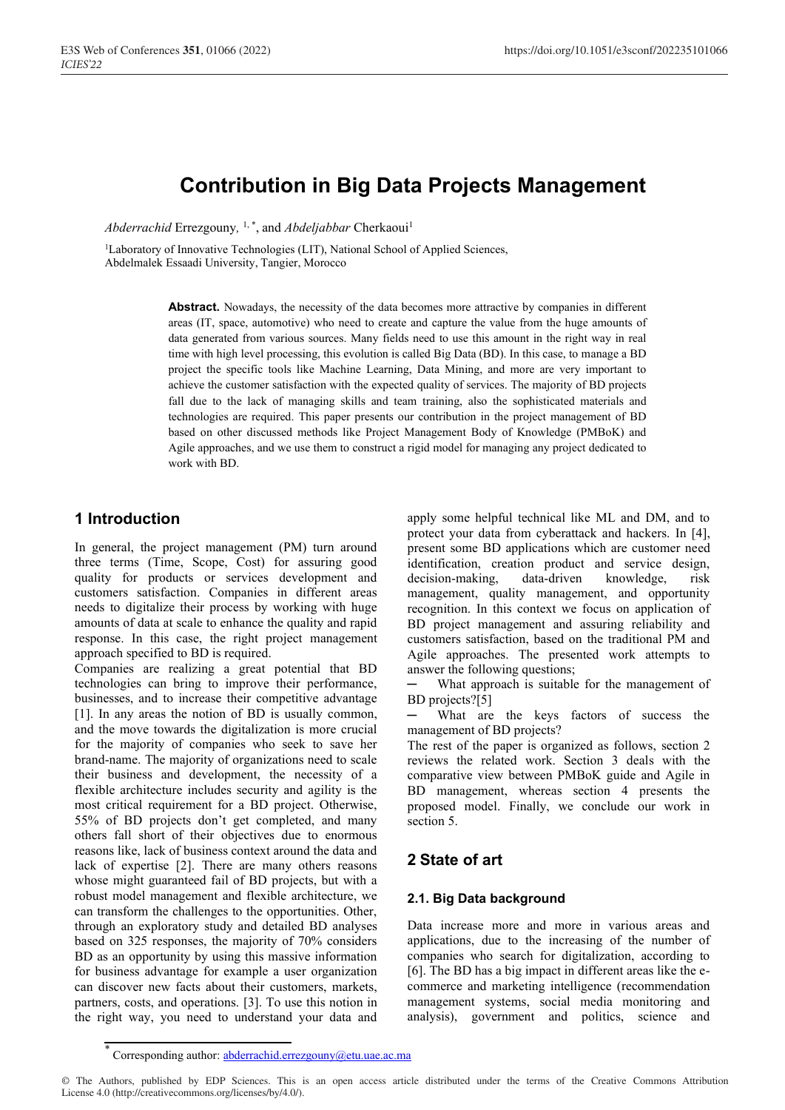# **Contribution in Big Data Projects Management**

Abderrachid Errezgouny, <sup>1,\*</sup>, and *Abdeljabbar* Cherkaoui<sup>1</sup>

<sup>1</sup>Laboratory of Innovative Technologies (LIT), National School of Applied Sciences, Abdelmalek Essaadi University, Tangier, Morocco

> Abstract. Nowadays, the necessity of the data becomes more attractive by companies in different areas (IT, space, automotive) who need to create and capture the value from the huge amounts of data generated from various sources. Many fields need to use this amount in the right way in real time with high level processing, this evolution is called Big Data (BD). In this case, to manage a BD project the specific tools like Machine Learning, Data Mining, and more are very important to achieve the customer satisfaction with the expected quality of services. The majority of BD projects fall due to the lack of managing skills and team training, also the sophisticated materials and technologies are required. This paper presents our contribution in the project management of BD based on other discussed methods like Project Management Body of Knowledge (PMBoK) and Agile approaches, and we use them to construct a rigid model for managing any project dedicated to work with BD.

# **1 Introduction**

In general, the project management (PM) turn around three terms (Time, Scope, Cost) for assuring good quality for products or services development and customers satisfaction. Companies in different areas needs to digitalize their process by working with huge amounts of data at scale to enhance the quality and rapid response. In this case, the right project management approach specified to BD is required.

Companies are realizing a great potential that BD technologies can bring to improve their performance, businesses, and to increase their competitive advantage [1]. In any areas the notion of BD is usually common, and the move towards the digitalization is more crucial for the majority of companies who seek to save her brand-name. The majority of organizations need to scale their business and development, the necessity of a flexible architecture includes security and agility is the most critical requirement for a BD project. Otherwise, 55% of BD projects don't get completed, and many others fall short of their objectives due to enormous reasons like, lack of business context around the data and lack of expertise [2]. There are many others reasons whose might guaranteed fail of BD projects, but with a robust model management and flexible architecture, we can transform the challenges to the opportunities. Other, through an exploratory study and detailed BD analyses based on 325 responses, the majority of 70% considers BD as an opportunity by using this massive information for business advantage for example a user organization can discover new facts about their customers, markets, partners, costs, and operations. [3]. To use this notion in the right way, you need to understand your data and

apply some helpful technical like ML and DM, and to protect your data from cyberattack and hackers. In [4], present some BD applications which are customer need identification, creation product and service design, decision-making, data-driven knowledge, risk management, quality management, and opportunity recognition. In this context we focus on application of BD project management and assuring reliability and customers satisfaction, based on the traditional PM and Agile approaches. The presented work attempts to answer the following questions;

What approach is suitable for the management of BD projects?[5]

What are the keys factors of success the management of BD projects?

The rest of the paper is organized as follows, section 2 reviews the related work. Section 3 deals with the comparative view between PMBoK guide and Agile in BD management, whereas section 4 presents the proposed model. Finally, we conclude our work in section 5.

# **2 State of art**

### **2.1. Big Data background**

Data increase more and more in various areas and applications, due to the increasing of the number of companies who search for digitalization, according to [6]. The BD has a big impact in different areas like the ecommerce and marketing intelligence (recommendation management systems, social media monitoring and analysis), government and politics, science and

<sup>\*</sup> Corresponding author: abderrachid.errezgouny@etu.uae.ac.ma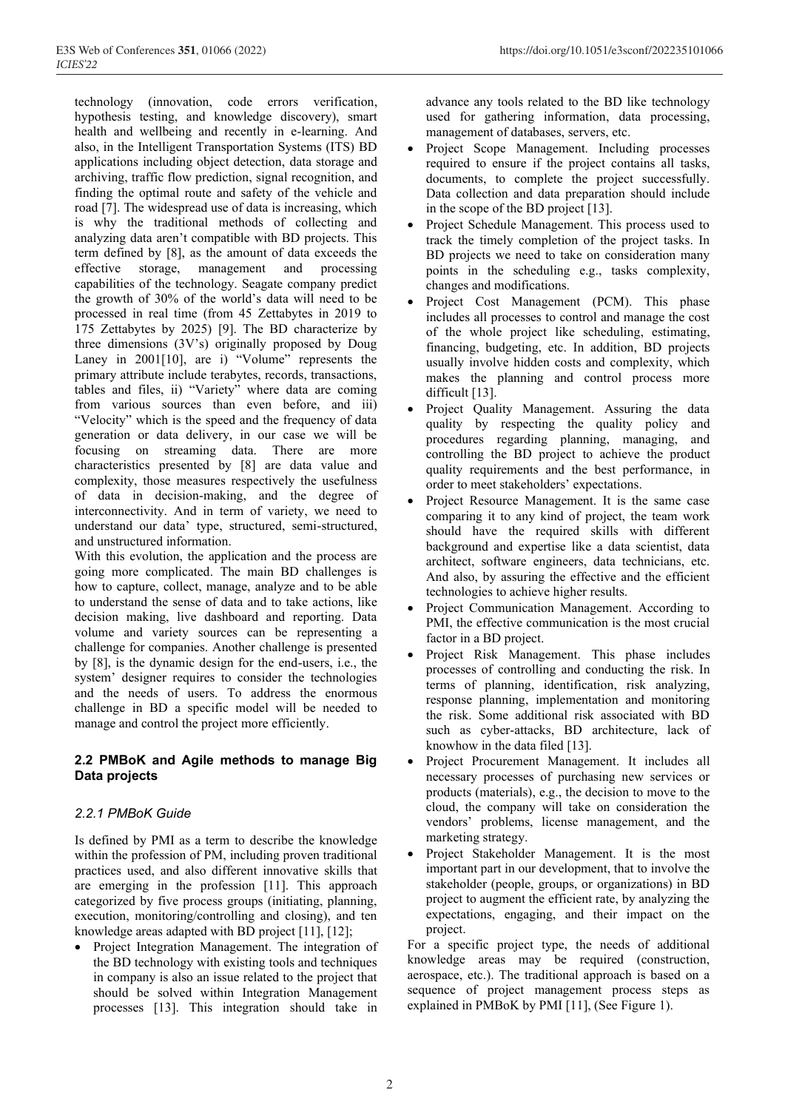technology (innovation, code errors verification, hypothesis testing, and knowledge discovery), smart health and wellbeing and recently in e-learning. And also, in the Intelligent Transportation Systems (ITS) BD applications including object detection, data storage and archiving, traffic flow prediction, signal recognition, and finding the optimal route and safety of the vehicle and road [7]. The widespread use of data is increasing, which is why the traditional methods of collecting and analyzing data aren't compatible with BD projects. This term defined by [8], as the amount of data exceeds the effective storage, management and processing capabilities of the technology. Seagate company predict the growth of 30% of the world's data will need to be processed in real time (from 45 Zettabytes in 2019 to 175 Zettabytes by 2025) [9]. The BD characterize by three dimensions (3V's) originally proposed by Doug Laney in 2001[10], are i) "Volume" represents the primary attribute include terabytes, records, transactions, tables and files, ii) "Variety" where data are coming from various sources than even before, and iii) "Velocity" which is the speed and the frequency of data generation or data delivery, in our case we will be focusing on streaming data. There are more characteristics presented by [8] are data value and complexity, those measures respectively the usefulness of data in decision-making, and the degree of interconnectivity. And in term of variety, we need to understand our data' type, structured, semi-structured, and unstructured information.

With this evolution, the application and the process are going more complicated. The main BD challenges is how to capture, collect, manage, analyze and to be able to understand the sense of data and to take actions, like decision making, live dashboard and reporting. Data volume and variety sources can be representing a challenge for companies. Another challenge is presented by [8], is the dynamic design for the end-users, i.e., the system' designer requires to consider the technologies and the needs of users. To address the enormous challenge in BD a specific model will be needed to manage and control the project more efficiently.

## **2.2 PMBoK and Agile methods to manage Big Data projects**

## *2.2.1 PMBoK Guide*

Is defined by PMI as a term to describe the knowledge within the profession of PM, including proven traditional practices used, and also different innovative skills that are emerging in the profession [11]. This approach categorized by five process groups (initiating, planning, execution, monitoring/controlling and closing), and ten knowledge areas adapted with BD project [11], [12];

• Project Integration Management. The integration of the BD technology with existing tools and techniques in company is also an issue related to the project that should be solved within Integration Management processes [13]. This integration should take in advance any tools related to the BD like technology used for gathering information, data processing, management of databases, servers, etc.

- Project Scope Management. Including processes required to ensure if the project contains all tasks, documents, to complete the project successfully. Data collection and data preparation should include in the scope of the BD project [13].
- Project Schedule Management. This process used to track the timely completion of the project tasks. In BD projects we need to take on consideration many points in the scheduling e.g., tasks complexity, changes and modifications.
- Project Cost Management (PCM). This phase includes all processes to control and manage the cost of the whole project like scheduling, estimating, financing, budgeting, etc. In addition, BD projects usually involve hidden costs and complexity, which makes the planning and control process more difficult [13].
- Project Quality Management. Assuring the data quality by respecting the quality policy and procedures regarding planning, managing, and controlling the BD project to achieve the product quality requirements and the best performance, in order to meet stakeholders' expectations.
- Project Resource Management. It is the same case comparing it to any kind of project, the team work should have the required skills with different background and expertise like a data scientist, data architect, software engineers, data technicians, etc. And also, by assuring the effective and the efficient technologies to achieve higher results.
- Project Communication Management. According to PMI, the effective communication is the most crucial factor in a BD project.
- Project Risk Management. This phase includes processes of controlling and conducting the risk. In terms of planning, identification, risk analyzing, response planning, implementation and monitoring the risk. Some additional risk associated with BD such as cyber-attacks, BD architecture, lack of knowhow in the data filed [13].
- Project Procurement Management. It includes all necessary processes of purchasing new services or products (materials), e.g., the decision to move to the cloud, the company will take on consideration the vendors' problems, license management, and the marketing strategy.
- Project Stakeholder Management. It is the most important part in our development, that to involve the stakeholder (people, groups, or organizations) in BD project to augment the efficient rate, by analyzing the expectations, engaging, and their impact on the project.

For a specific project type, the needs of additional knowledge areas may be required (construction, aerospace, etc.). The traditional approach is based on a sequence of project management process steps as explained in PMBoK by PMI [11], (See Figure 1).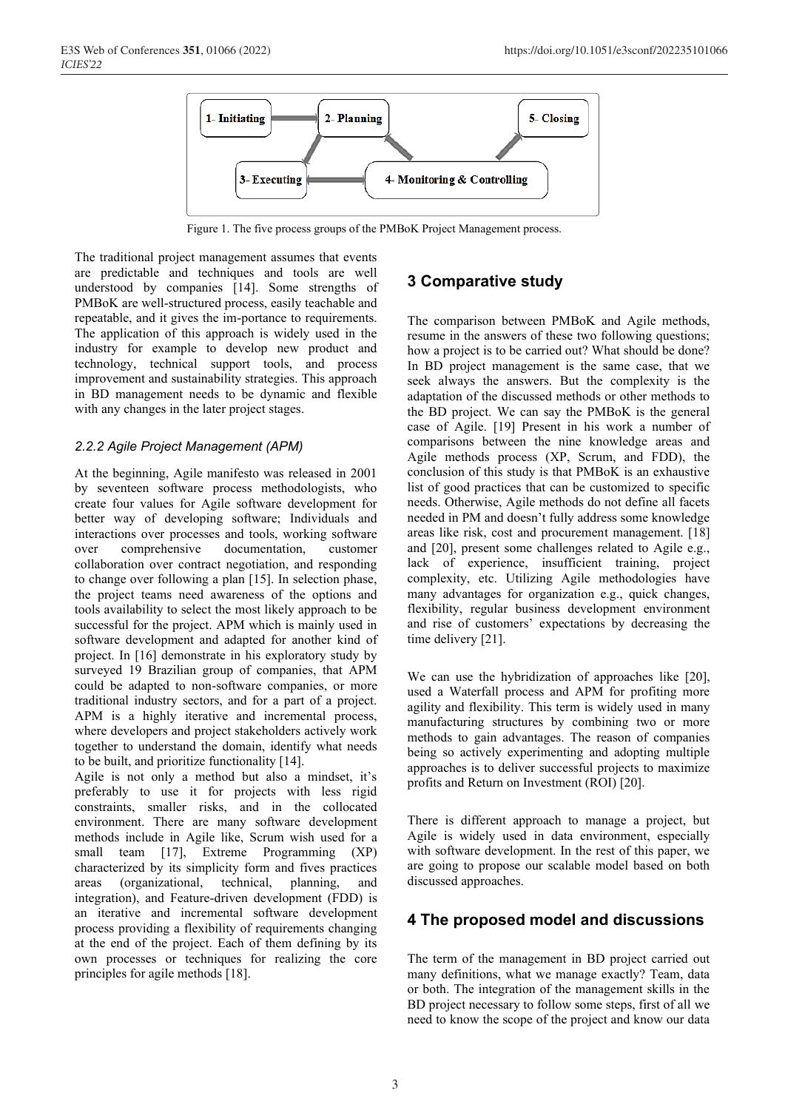

Figure 1. The five process groups of the PMBoK Project Management process.

The traditional project management assumes that events are predictable and techniques and tools are well understood by companies [14]. Some strengths of PMBoK are well-structured process, easily teachable and repeatable, and it gives the im-portance to requirements. The application of this approach is widely used in the industry for example to develop new product and technology, technical support tools, and process improvement and sustainability strategies. This approach in BD management needs to be dynamic and flexible with any changes in the later project stages.

#### *2.2.2 Agile Project Management (APM)*

At the beginning, Agile manifesto was released in 2001 by seventeen software process methodologists, who create four values for Agile software development for better way of developing software; Individuals and interactions over processes and tools, working software over comprehensive documentation, customer collaboration over contract negotiation, and responding to change over following a plan [15]. In selection phase, the project teams need awareness of the options and tools availability to select the most likely approach to be successful for the project. APM which is mainly used in software development and adapted for another kind of project. In [16] demonstrate in his exploratory study by surveyed 19 Brazilian group of companies, that APM could be adapted to non-software companies, or more traditional industry sectors, and for a part of a project. APM is a highly iterative and incremental process, where developers and project stakeholders actively work together to understand the domain, identify what needs to be built, and prioritize functionality [14].

Agile is not only a method but also a mindset, it's preferably to use it for projects with less rigid constraints, smaller risks, and in the collocated environment. There are many software development methods include in Agile like, Scrum wish used for a small team [17], Extreme Programming (XP) characterized by its simplicity form and fives practices areas (organizational, technical, planning, and integration), and Feature-driven development (FDD) is an iterative and incremental software development process providing a flexibility of requirements changing at the end of the project. Each of them defining by its own processes or techniques for realizing the core principles for agile methods [18].

# **3 Comparative study**

The comparison between PMBoK and Agile methods, resume in the answers of these two following questions; how a project is to be carried out? What should be done? In BD project management is the same case, that we seek always the answers. But the complexity is the adaptation of the discussed methods or other methods to the BD project. We can say the PMBoK is the general case of Agile. [19] Present in his work a number of comparisons between the nine knowledge areas and Agile methods process (XP, Scrum, and FDD), the conclusion of this study is that PMBoK is an exhaustive list of good practices that can be customized to specific needs. Otherwise, Agile methods do not define all facets needed in PM and doesn't fully address some knowledge areas like risk, cost and procurement management. [18] and [20], present some challenges related to Agile e.g., lack of experience, insufficient training, project complexity, etc. Utilizing Agile methodologies have many advantages for organization e.g., quick changes, flexibility, regular business development environment and rise of customers' expectations by decreasing the time delivery [21].

We can use the hybridization of approaches like [20], used a Waterfall process and APM for profiting more agility and flexibility. This term is widely used in many manufacturing structures by combining two or more methods to gain advantages. The reason of companies being so actively experimenting and adopting multiple approaches is to deliver successful projects to maximize profits and Return on Investment (ROI) [20].

There is different approach to manage a project, but Agile is widely used in data environment, especially with software development. In the rest of this paper, we are going to propose our scalable model based on both discussed approaches.

### **4 The proposed model and discussions**

The term of the management in BD project carried out many definitions, what we manage exactly? Team, data or both. The integration of the management skills in the BD project necessary to follow some steps, first of all we need to know the scope of the project and know our data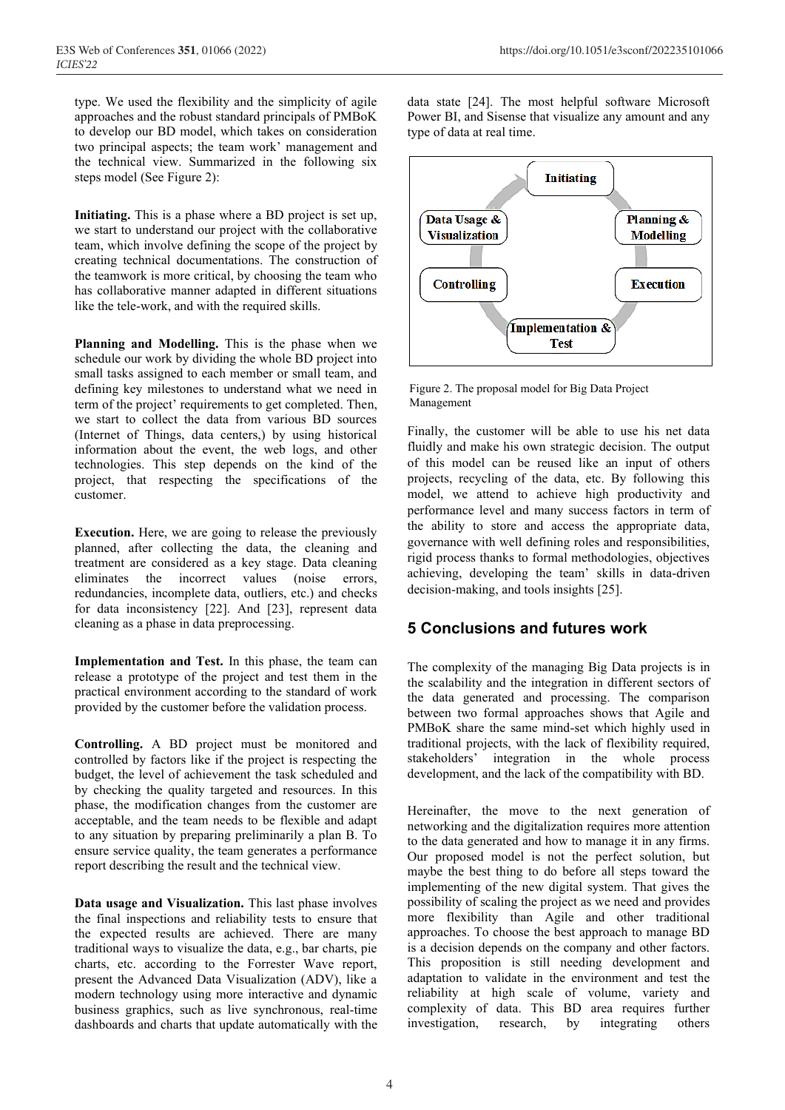type. We used the flexibility and the simplicity of agile approaches and the robust standard principals of PMBoK to develop our BD model, which takes on consideration two principal aspects; the team work' management and the technical view. Summarized in the following six steps model (See Figure 2):

**Initiating.** This is a phase where a BD project is set up, we start to understand our project with the collaborative team, which involve defining the scope of the project by creating technical documentations. The construction of the teamwork is more critical, by choosing the team who has collaborative manner adapted in different situations like the tele-work, and with the required skills.

**Planning and Modelling.** This is the phase when we schedule our work by dividing the whole BD project into small tasks assigned to each member or small team, and defining key milestones to understand what we need in term of the project' requirements to get completed. Then, we start to collect the data from various BD sources (Internet of Things, data centers,) by using historical information about the event, the web logs, and other technologies. This step depends on the kind of the project, that respecting the specifications of the customer.

**Execution.** Here, we are going to release the previously planned, after collecting the data, the cleaning and treatment are considered as a key stage. Data cleaning eliminates the incorrect values (noise errors, redundancies, incomplete data, outliers, etc.) and checks for data inconsistency [22]. And [23], represent data cleaning as a phase in data preprocessing.

**Implementation and Test.** In this phase, the team can release a prototype of the project and test them in the practical environment according to the standard of work provided by the customer before the validation process.

**Controlling.** A BD project must be monitored and controlled by factors like if the project is respecting the budget, the level of achievement the task scheduled and by checking the quality targeted and resources. In this phase, the modification changes from the customer are acceptable, and the team needs to be flexible and adapt to any situation by preparing preliminarily a plan B. To ensure service quality, the team generates a performance report describing the result and the technical view.

**Data usage and Visualization.** This last phase involves the final inspections and reliability tests to ensure that the expected results are achieved. There are many traditional ways to visualize the data, e.g., bar charts, pie charts, etc. according to the Forrester Wave report, present the Advanced Data Visualization (ADV), like a modern technology using more interactive and dynamic business graphics, such as live synchronous, real-time dashboards and charts that update automatically with the

data state [24]. The most helpful software Microsoft Power BI, and Sisense that visualize any amount and any type of data at real time.



Figure 2. The proposal model for Big Data Project Management

Finally, the customer will be able to use his net data fluidly and make his own strategic decision. The output of this model can be reused like an input of others projects, recycling of the data, etc. By following this model, we attend to achieve high productivity and performance level and many success factors in term of the ability to store and access the appropriate data, governance with well defining roles and responsibilities, rigid process thanks to formal methodologies, objectives achieving, developing the team' skills in data-driven decision-making, and tools insights [25].

# **5 Conclusions and futures work**

The complexity of the managing Big Data projects is in the scalability and the integration in different sectors of the data generated and processing. The comparison between two formal approaches shows that Agile and PMBoK share the same mind-set which highly used in traditional projects, with the lack of flexibility required, stakeholders' integration in the whole process development, and the lack of the compatibility with BD.

Hereinafter, the move to the next generation of networking and the digitalization requires more attention to the data generated and how to manage it in any firms. Our proposed model is not the perfect solution, but maybe the best thing to do before all steps toward the implementing of the new digital system. That gives the possibility of scaling the project as we need and provides more flexibility than Agile and other traditional approaches. To choose the best approach to manage BD is a decision depends on the company and other factors. This proposition is still needing development and adaptation to validate in the environment and test the reliability at high scale of volume, variety and complexity of data. This BD area requires further investigation, research, by integrating others